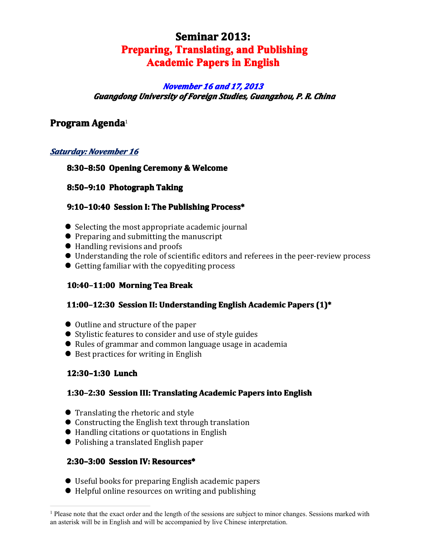# **Seminar 2013: Preparing, Translating, and Publishing Academic Papers in English English**

### *November November November November 16 and 17, 2013 Guangdong University of Foreign Foreign Studies, Studies,Guangzhou, Guangzhou,P. R. China*

# **Program Program Program Agenda**[1](#page-0-0)

### *Saturday: Saturday: November November November16*

### **8:30–8:50 Opening Ceremony & Welcome**

### **8:50–9:10 Photograph PhotographTaking**

### **9:10-10:40 Session I: The Publishing Process\***

- **�** Selecting the most appropriate academic journal
- **�** Preparing and submitting the manuscript
- **�** Handling revisions and proofs
- **�** Understanding the role of scientific editors and referees in the peer-review process
- **�** Getting familiar with the copyediting process

### **10:40–11:00 Morning MorningTea Break**

### **11:00-12:30** Session II: Understanding English Academic Papers (1)\*

- **�** Outline and structure of the paper
- **�** Stylistic features to consider and use of style guides
- **�** Rules of grammar and common language usage in academia
- **�** Best practices for writing in English

### **12:30–1:30 Lunch**

## **1:30–2:30 Session III: Translating Academic Papers into English**

- **�** Translating the rhetoric and style
- **�** Constructing the English text through translation
- **�** Handling citations or quotations in English
- **�** Polishing <sup>a</sup> translated English paper

### **2:30–3:00 Session IV: Resources\***

- **�** Useful books for preparing English academic papers
- <span id="page-0-0"></span>**�** Helpful online resources on writing and publishing

 $<sup>1</sup>$  Please note that the exact order and the length of the sessions are subject to minor changes. Sessions marked with</sup> an asterisk will be in English and will be accompanied by live Chinese interpretation.